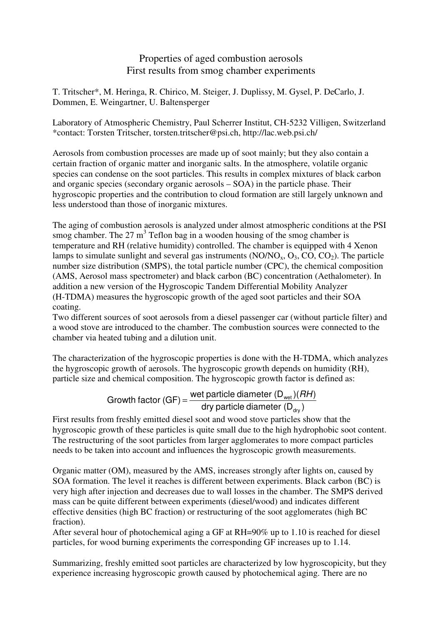# Properties of aged combustion aerosols First results from smog chamber experiments

T. Tritscher\*, M. Heringa, R. Chirico, M. Steiger, J. Duplissy, M. Gysel, P. DeCarlo, J. Dommen, E. Weingartner, U. Baltensperger

Laboratory of Atmospheric Chemistry, Paul Scherrer Institut, CH-5232 Villigen, Switzerland \*contact: Torsten Tritscher, torsten.tritscher@psi.ch, http://lac.web.psi.ch/

Aerosols from combustion processes are made up of soot mainly; but they also contain a certain fraction of organic matter and inorganic salts. In the atmosphere, volatile organic species can condense on the soot particles. This results in complex mixtures of black carbon and organic species (secondary organic aerosols – SOA) in the particle phase. Their hygroscopic properties and the contribution to cloud formation are still largely unknown and less understood than those of inorganic mixtures.

The aging of combustion aerosols is analyzed under almost atmospheric conditions at the PSI smog chamber. The  $27 \text{ m}^3$  Teflon bag in a wooden housing of the smog chamber is temperature and RH (relative humidity) controlled. The chamber is equipped with 4 Xenon lamps to simulate sunlight and several gas instruments  $(NO/NO<sub>x</sub>, O<sub>3</sub>, CO, CO<sub>2</sub>)$ . The particle number size distribution (SMPS), the total particle number (CPC), the chemical composition (AMS, Aerosol mass spectrometer) and black carbon (BC) concentration (Aethalometer). In addition a new version of the Hygroscopic Tandem Differential Mobility Analyzer (H-TDMA) measures the hygroscopic growth of the aged soot particles and their SOA coating.

Two different sources of soot aerosols from a diesel passenger car (without particle filter) and a wood stove are introduced to the chamber. The combustion sources were connected to the chamber via heated tubing and a dilution unit.

The characterization of the hygroscopic properties is done with the H-TDMA, which analyzes the hygroscopic growth of aerosols. The hygroscopic growth depends on humidity (RH), particle size and chemical composition. The hygroscopic growth factor is defined as:

Growth factor (GF) = 
$$
\frac{\text{wet particle diameter} (D_{\text{wet}})(RH)}{\text{dry particle diameter} (D_{\text{dry}})}
$$

First results from freshly emitted diesel soot and wood stove particles show that the hygroscopic growth of these particles is quite small due to the high hydrophobic soot content. The restructuring of the soot particles from larger agglomerates to more compact particles needs to be taken into account and influences the hygroscopic growth measurements.

Organic matter (OM), measured by the AMS, increases strongly after lights on, caused by SOA formation. The level it reaches is different between experiments. Black carbon (BC) is very high after injection and decreases due to wall losses in the chamber. The SMPS derived mass can be quite different between experiments (diesel/wood) and indicates different effective densities (high BC fraction) or restructuring of the soot agglomerates (high BC fraction).

After several hour of photochemical aging a GF at RH=90% up to 1.10 is reached for diesel particles, for wood burning experiments the corresponding GF increases up to 1.14.

Summarizing, freshly emitted soot particles are characterized by low hygroscopicity, but they experience increasing hygroscopic growth caused by photochemical aging. There are no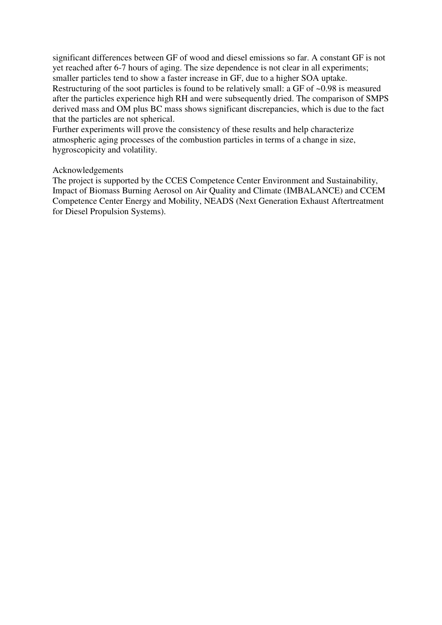significant differences between GF of wood and diesel emissions so far. A constant GF is not yet reached after 6-7 hours of aging. The size dependence is not clear in all experiments; smaller particles tend to show a faster increase in GF, due to a higher SOA uptake. Restructuring of the soot particles is found to be relatively small: a GF of ~0.98 is measured after the particles experience high RH and were subsequently dried. The comparison of SMPS derived mass and OM plus BC mass shows significant discrepancies, which is due to the fact that the particles are not spherical.

Further experiments will prove the consistency of these results and help characterize atmospheric aging processes of the combustion particles in terms of a change in size, hygroscopicity and volatility.

## Acknowledgements

The project is supported by the CCES Competence Center Environment and Sustainability, Impact of Biomass Burning Aerosol on Air Quality and Climate (IMBALANCE) and CCEM Competence Center Energy and Mobility, NEADS (Next Generation Exhaust Aftertreatment for Diesel Propulsion Systems).